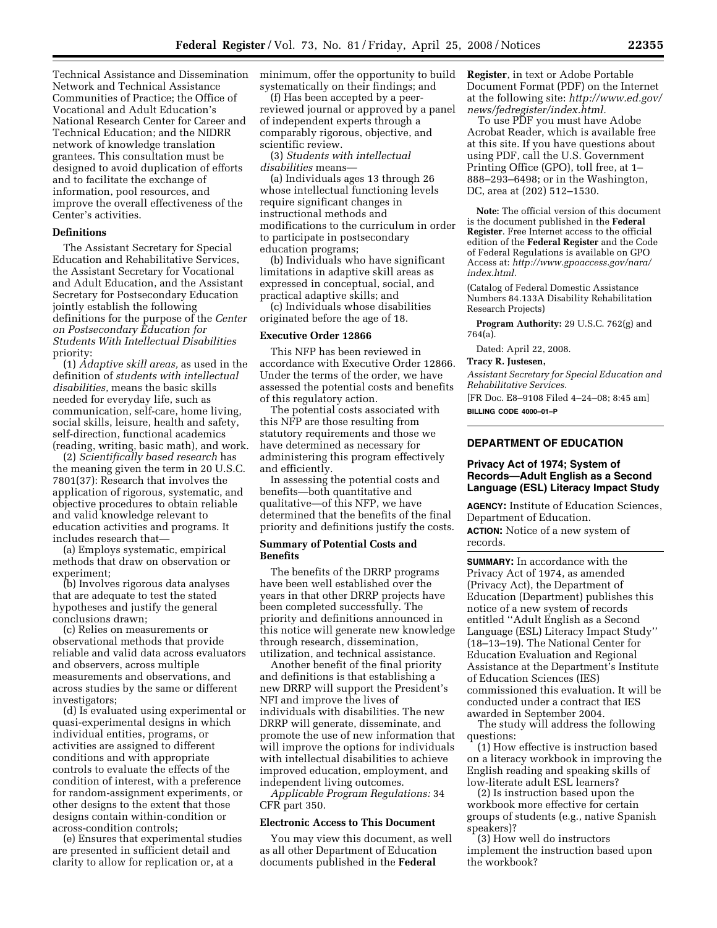Technical Assistance and Dissemination Network and Technical Assistance Communities of Practice; the Office of Vocational and Adult Education's National Research Center for Career and Technical Education; and the NIDRR network of knowledge translation grantees. This consultation must be designed to avoid duplication of efforts and to facilitate the exchange of information, pool resources, and improve the overall effectiveness of the Center's activities.

## **Definitions**

The Assistant Secretary for Special Education and Rehabilitative Services, the Assistant Secretary for Vocational and Adult Education, and the Assistant Secretary for Postsecondary Education jointly establish the following definitions for the purpose of the *Center on Postsecondary Education for Students With Intellectual Disabilities*  priority:

(1) *Adaptive skill areas,* as used in the definition of *students with intellectual disabilities,* means the basic skills needed for everyday life, such as communication, self-care, home living, social skills, leisure, health and safety, self-direction, functional academics (reading, writing, basic math), and work.

(2) *Scientifically based research* has the meaning given the term in 20 U.S.C. 7801(37): Research that involves the application of rigorous, systematic, and objective procedures to obtain reliable and valid knowledge relevant to education activities and programs. It includes research that—

(a) Employs systematic, empirical methods that draw on observation or experiment;

(b) Involves rigorous data analyses that are adequate to test the stated hypotheses and justify the general conclusions drawn;

(c) Relies on measurements or observational methods that provide reliable and valid data across evaluators and observers, across multiple measurements and observations, and across studies by the same or different investigators;

(d) Is evaluated using experimental or quasi-experimental designs in which individual entities, programs, or activities are assigned to different conditions and with appropriate controls to evaluate the effects of the condition of interest, with a preference for random-assignment experiments, or other designs to the extent that those designs contain within-condition or across-condition controls;

(e) Ensures that experimental studies are presented in sufficient detail and clarity to allow for replication or, at a

minimum, offer the opportunity to build systematically on their findings; and

(f) Has been accepted by a peerreviewed journal or approved by a panel of independent experts through a comparably rigorous, objective, and scientific review.

(3) *Students with intellectual disabilities* means—

(a) Individuals ages 13 through 26 whose intellectual functioning levels require significant changes in instructional methods and modifications to the curriculum in order to participate in postsecondary education programs;

(b) Individuals who have significant limitations in adaptive skill areas as expressed in conceptual, social, and practical adaptive skills; and

(c) Individuals whose disabilities originated before the age of 18.

### **Executive Order 12866**

This NFP has been reviewed in accordance with Executive Order 12866. Under the terms of the order, we have assessed the potential costs and benefits of this regulatory action.

The potential costs associated with this NFP are those resulting from statutory requirements and those we have determined as necessary for administering this program effectively and efficiently.

In assessing the potential costs and benefits—both quantitative and qualitative—of this NFP, we have determined that the benefits of the final priority and definitions justify the costs.

## **Summary of Potential Costs and Benefits**

The benefits of the DRRP programs have been well established over the years in that other DRRP projects have been completed successfully. The priority and definitions announced in this notice will generate new knowledge through research, dissemination, utilization, and technical assistance.

Another benefit of the final priority and definitions is that establishing a new DRRP will support the President's NFI and improve the lives of individuals with disabilities. The new DRRP will generate, disseminate, and promote the use of new information that will improve the options for individuals with intellectual disabilities to achieve improved education, employment, and independent living outcomes.

*Applicable Program Regulations:* 34 CFR part 350.

### **Electronic Access to This Document**

You may view this document, as well as all other Department of Education documents published in the **Federal** 

**Register**, in text or Adobe Portable Document Format (PDF) on the Internet at the following site: *http://www.ed.gov/ news/fedregister/index.html.* 

To use PDF you must have Adobe Acrobat Reader, which is available free at this site. If you have questions about using PDF, call the U.S. Government Printing Office (GPO), toll free, at 1– 888–293–6498; or in the Washington, DC, area at (202) 512–1530.

**Note:** The official version of this document is the document published in the **Federal Register**. Free Internet access to the official edition of the **Federal Register** and the Code of Federal Regulations is available on GPO Access at: *http://www.gpoaccess.gov/nara/ index.html.* 

(Catalog of Federal Domestic Assistance Numbers 84.133A Disability Rehabilitation Research Projects)

**Program Authority:** 29 U.S.C. 762(g) and 764(a).

Dated: April 22, 2008.

## **Tracy R. Justesen,**

*Assistant Secretary for Special Education and Rehabilitative Services.* 

[FR Doc. E8–9108 Filed 4–24–08; 8:45 am] **BILLING CODE 4000–01–P** 

# **DEPARTMENT OF EDUCATION**

## **Privacy Act of 1974; System of Records—Adult English as a Second Language (ESL) Literacy Impact Study**

**AGENCY:** Institute of Education Sciences, Department of Education.

**ACTION:** Notice of a new system of records.

**SUMMARY:** In accordance with the Privacy Act of 1974, as amended (Privacy Act), the Department of Education (Department) publishes this notice of a new system of records entitled ''Adult English as a Second Language (ESL) Literacy Impact Study'' (18–13–19). The National Center for Education Evaluation and Regional Assistance at the Department's Institute of Education Sciences (IES) commissioned this evaluation. It will be conducted under a contract that IES awarded in September 2004.

The study will address the following questions:

(1) How effective is instruction based on a literacy workbook in improving the English reading and speaking skills of low-literate adult ESL learners?

(2) Is instruction based upon the workbook more effective for certain groups of students (e.g., native Spanish speakers)?

(3) How well do instructors implement the instruction based upon the workbook?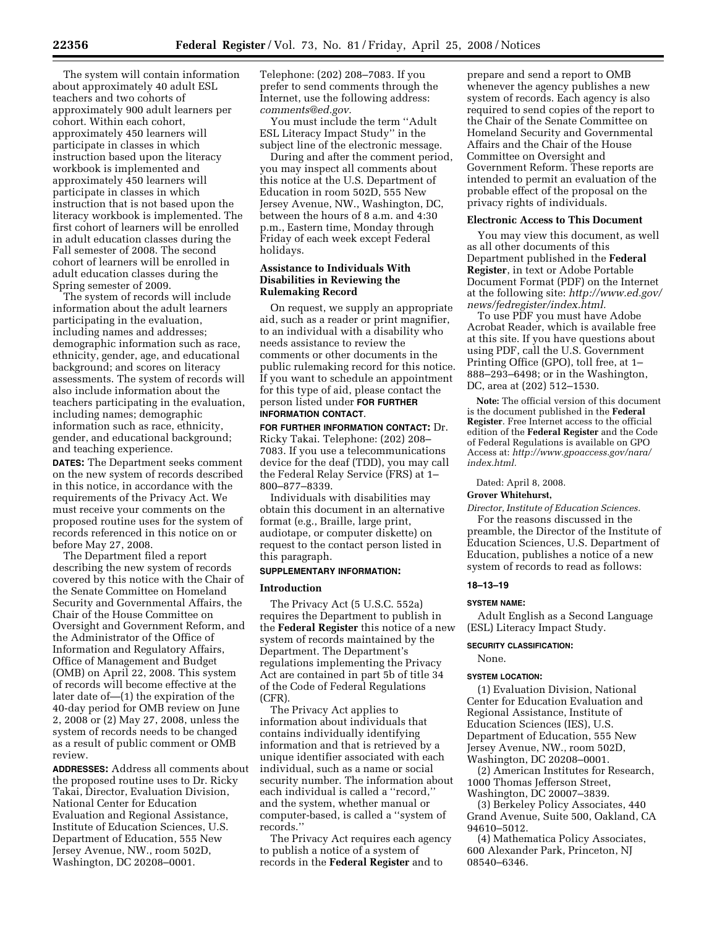The system will contain information about approximately 40 adult ESL teachers and two cohorts of approximately 900 adult learners per cohort. Within each cohort, approximately 450 learners will participate in classes in which instruction based upon the literacy workbook is implemented and approximately 450 learners will participate in classes in which instruction that is not based upon the literacy workbook is implemented. The first cohort of learners will be enrolled in adult education classes during the Fall semester of 2008. The second cohort of learners will be enrolled in adult education classes during the Spring semester of 2009.

The system of records will include information about the adult learners participating in the evaluation, including names and addresses; demographic information such as race, ethnicity, gender, age, and educational background; and scores on literacy assessments. The system of records will also include information about the teachers participating in the evaluation, including names; demographic information such as race, ethnicity, gender, and educational background; and teaching experience.

**DATES:** The Department seeks comment on the new system of records described in this notice, in accordance with the requirements of the Privacy Act. We must receive your comments on the proposed routine uses for the system of records referenced in this notice on or before May 27, 2008.

The Department filed a report describing the new system of records covered by this notice with the Chair of the Senate Committee on Homeland Security and Governmental Affairs, the Chair of the House Committee on Oversight and Government Reform, and the Administrator of the Office of Information and Regulatory Affairs, Office of Management and Budget (OMB) on April 22, 2008. This system of records will become effective at the later date of—(1) the expiration of the 40-day period for OMB review on June 2, 2008 or (2) May 27, 2008, unless the system of records needs to be changed as a result of public comment or OMB review.

**ADDRESSES:** Address all comments about the proposed routine uses to Dr. Ricky Takai, Director, Evaluation Division, National Center for Education Evaluation and Regional Assistance, Institute of Education Sciences, U.S. Department of Education, 555 New Jersey Avenue, NW., room 502D, Washington, DC 20208–0001.

Telephone: (202) 208–7083. If you prefer to send comments through the Internet, use the following address: *comments@ed.gov.* 

You must include the term ''Adult ESL Literacy Impact Study'' in the subject line of the electronic message.

During and after the comment period, you may inspect all comments about this notice at the U.S. Department of Education in room 502D, 555 New Jersey Avenue, NW., Washington, DC, between the hours of 8 a.m. and 4:30 p.m., Eastern time, Monday through Friday of each week except Federal holidays.

## **Assistance to Individuals With Disabilities in Reviewing the Rulemaking Record**

On request, we supply an appropriate aid, such as a reader or print magnifier, to an individual with a disability who needs assistance to review the comments or other documents in the public rulemaking record for this notice. If you want to schedule an appointment for this type of aid, please contact the person listed under **FOR FURTHER INFORMATION CONTACT**.

**FOR FURTHER INFORMATION CONTACT:** Dr. Ricky Takai. Telephone: (202) 208– 7083. If you use a telecommunications device for the deaf (TDD), you may call the Federal Relay Service (FRS) at 1– 800–877–8339.

Individuals with disabilities may obtain this document in an alternative format (e.g., Braille, large print, audiotape, or computer diskette) on request to the contact person listed in this paragraph.

# **SUPPLEMENTARY INFORMATION:**

### **Introduction**

The Privacy Act (5 U.S.C. 552a) requires the Department to publish in the **Federal Register** this notice of a new system of records maintained by the Department. The Department's regulations implementing the Privacy Act are contained in part 5b of title 34 of the Code of Federal Regulations (CFR).

The Privacy Act applies to information about individuals that contains individually identifying information and that is retrieved by a unique identifier associated with each individual, such as a name or social security number. The information about each individual is called a ''record,'' and the system, whether manual or computer-based, is called a ''system of records.''

The Privacy Act requires each agency to publish a notice of a system of records in the **Federal Register** and to

prepare and send a report to OMB whenever the agency publishes a new system of records. Each agency is also required to send copies of the report to the Chair of the Senate Committee on Homeland Security and Governmental Affairs and the Chair of the House Committee on Oversight and Government Reform. These reports are intended to permit an evaluation of the probable effect of the proposal on the privacy rights of individuals.

### **Electronic Access to This Document**

You may view this document, as well as all other documents of this Department published in the **Federal Register**, in text or Adobe Portable Document Format (PDF) on the Internet at the following site: *http://www.ed.gov/ news/fedregister/index.html.* 

To use PDF you must have Adobe Acrobat Reader, which is available free at this site. If you have questions about using PDF, call the U.S. Government Printing Office (GPO), toll free, at 1– 888–293–6498; or in the Washington, DC, area at (202) 512–1530.

**Note:** The official version of this document is the document published in the **Federal Register**. Free Internet access to the official edition of the **Federal Register** and the Code of Federal Regulations is available on GPO Access at: *http://www.gpoaccess.gov/nara/ index.html.* 

Dated: April 8, 2008.

### **Grover Whitehurst,**

*Director, Institute of Education Sciences.*  For the reasons discussed in the preamble, the Director of the Institute of Education Sciences, U.S. Department of Education, publishes a notice of a new system of records to read as follows:

### **18–13–19**

#### **SYSTEM NAME:**

Adult English as a Second Language (ESL) Literacy Impact Study.

### **SECURITY CLASSIFICATION:**

None.

### **SYSTEM LOCATION:**

(1) Evaluation Division, National Center for Education Evaluation and Regional Assistance, Institute of Education Sciences (IES), U.S. Department of Education, 555 New Jersey Avenue, NW., room 502D, Washington, DC 20208–0001.

(2) American Institutes for Research, 1000 Thomas Jefferson Street, Washington, DC 20007–3839.

(3) Berkeley Policy Associates, 440 Grand Avenue, Suite 500, Oakland, CA 94610–5012.

(4) Mathematica Policy Associates, 600 Alexander Park, Princeton, NJ 08540–6346.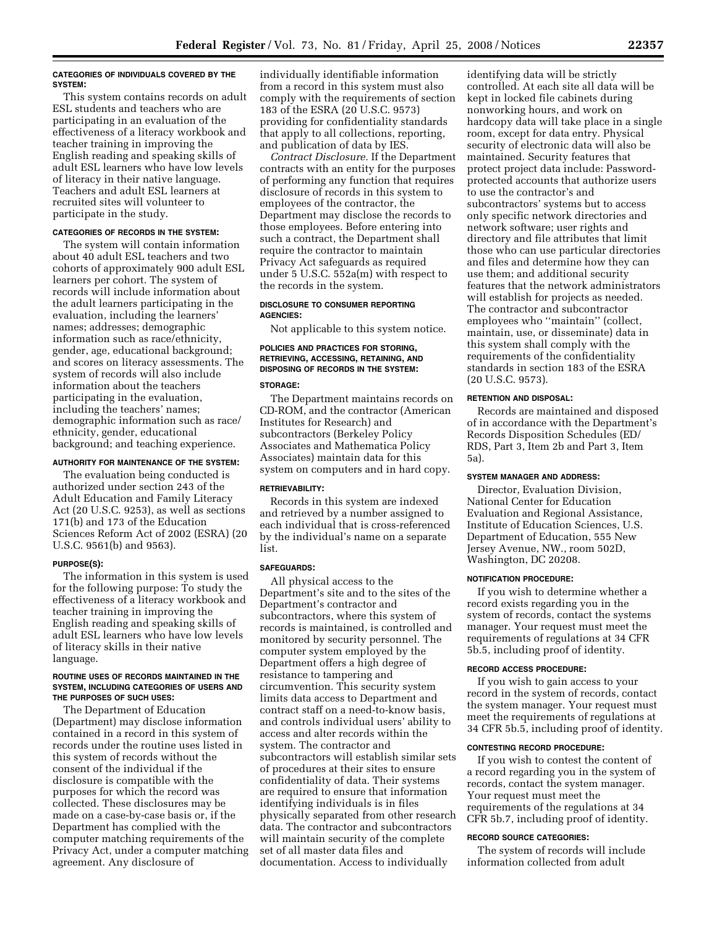### **CATEGORIES OF INDIVIDUALS COVERED BY THE SYSTEM:**

This system contains records on adult ESL students and teachers who are participating in an evaluation of the effectiveness of a literacy workbook and teacher training in improving the English reading and speaking skills of adult ESL learners who have low levels of literacy in their native language. Teachers and adult ESL learners at recruited sites will volunteer to participate in the study.

## **CATEGORIES OF RECORDS IN THE SYSTEM:**

The system will contain information about 40 adult ESL teachers and two cohorts of approximately 900 adult ESL learners per cohort. The system of records will include information about the adult learners participating in the evaluation, including the learners' names; addresses; demographic information such as race/ethnicity, gender, age, educational background; and scores on literacy assessments. The system of records will also include information about the teachers participating in the evaluation, including the teachers' names; demographic information such as race/ ethnicity, gender, educational background; and teaching experience.

## **AUTHORITY FOR MAINTENANCE OF THE SYSTEM:**

The evaluation being conducted is authorized under section 243 of the Adult Education and Family Literacy Act (20 U.S.C. 9253), as well as sections 171(b) and 173 of the Education Sciences Reform Act of 2002 (ESRA) (20 U.S.C. 9561(b) and 9563).

#### **PURPOSE(S):**

The information in this system is used for the following purpose: To study the effectiveness of a literacy workbook and teacher training in improving the English reading and speaking skills of adult ESL learners who have low levels of literacy skills in their native language.

### **ROUTINE USES OF RECORDS MAINTAINED IN THE SYSTEM, INCLUDING CATEGORIES OF USERS AND THE PURPOSES OF SUCH USES:**

The Department of Education (Department) may disclose information contained in a record in this system of records under the routine uses listed in this system of records without the consent of the individual if the disclosure is compatible with the purposes for which the record was collected. These disclosures may be made on a case-by-case basis or, if the Department has complied with the computer matching requirements of the Privacy Act, under a computer matching agreement. Any disclosure of

individually identifiable information from a record in this system must also comply with the requirements of section 183 of the ESRA (20 U.S.C. 9573) providing for confidentiality standards that apply to all collections, reporting, and publication of data by IES.

*Contract Disclosure.* If the Department contracts with an entity for the purposes of performing any function that requires disclosure of records in this system to employees of the contractor, the Department may disclose the records to those employees. Before entering into such a contract, the Department shall require the contractor to maintain Privacy Act safeguards as required under 5 U.S.C. 552a(m) with respect to the records in the system.

## **DISCLOSURE TO CONSUMER REPORTING AGENCIES:**

Not applicable to this system notice.

# **POLICIES AND PRACTICES FOR STORING, RETRIEVING, ACCESSING, RETAINING, AND DISPOSING OF RECORDS IN THE SYSTEM:**

## **STORAGE:**

The Department maintains records on CD-ROM, and the contractor (American Institutes for Research) and subcontractors (Berkeley Policy Associates and Mathematica Policy Associates) maintain data for this system on computers and in hard copy.

## **RETRIEVABILITY:**

Records in this system are indexed and retrieved by a number assigned to each individual that is cross-referenced by the individual's name on a separate list.

#### **SAFEGUARDS:**

All physical access to the Department's site and to the sites of the Department's contractor and subcontractors, where this system of records is maintained, is controlled and monitored by security personnel. The computer system employed by the Department offers a high degree of resistance to tampering and circumvention. This security system limits data access to Department and contract staff on a need-to-know basis, and controls individual users' ability to access and alter records within the system. The contractor and subcontractors will establish similar sets of procedures at their sites to ensure confidentiality of data. Their systems are required to ensure that information identifying individuals is in files physically separated from other research data. The contractor and subcontractors will maintain security of the complete set of all master data files and documentation. Access to individually

identifying data will be strictly controlled. At each site all data will be kept in locked file cabinets during nonworking hours, and work on hardcopy data will take place in a single room, except for data entry. Physical security of electronic data will also be maintained. Security features that protect project data include: Passwordprotected accounts that authorize users to use the contractor's and subcontractors' systems but to access only specific network directories and network software; user rights and directory and file attributes that limit those who can use particular directories and files and determine how they can use them; and additional security features that the network administrators will establish for projects as needed. The contractor and subcontractor employees who ''maintain'' (collect, maintain, use, or disseminate) data in this system shall comply with the requirements of the confidentiality standards in section 183 of the ESRA (20 U.S.C. 9573).

### **RETENTION AND DISPOSAL:**

Records are maintained and disposed of in accordance with the Department's Records Disposition Schedules (ED/ RDS, Part 3, Item 2b and Part 3, Item 5a).

### **SYSTEM MANAGER AND ADDRESS:**

Director, Evaluation Division, National Center for Education Evaluation and Regional Assistance, Institute of Education Sciences, U.S. Department of Education, 555 New Jersey Avenue, NW., room 502D, Washington, DC 20208.

## **NOTIFICATION PROCEDURE:**

If you wish to determine whether a record exists regarding you in the system of records, contact the systems manager. Your request must meet the requirements of regulations at 34 CFR 5b.5, including proof of identity.

### **RECORD ACCESS PROCEDURE:**

If you wish to gain access to your record in the system of records, contact the system manager. Your request must meet the requirements of regulations at 34 CFR 5b.5, including proof of identity.

## **CONTESTING RECORD PROCEDURE:**

If you wish to contest the content of a record regarding you in the system of records, contact the system manager. Your request must meet the requirements of the regulations at 34 CFR 5b.7, including proof of identity.

### **RECORD SOURCE CATEGORIES:**

The system of records will include information collected from adult